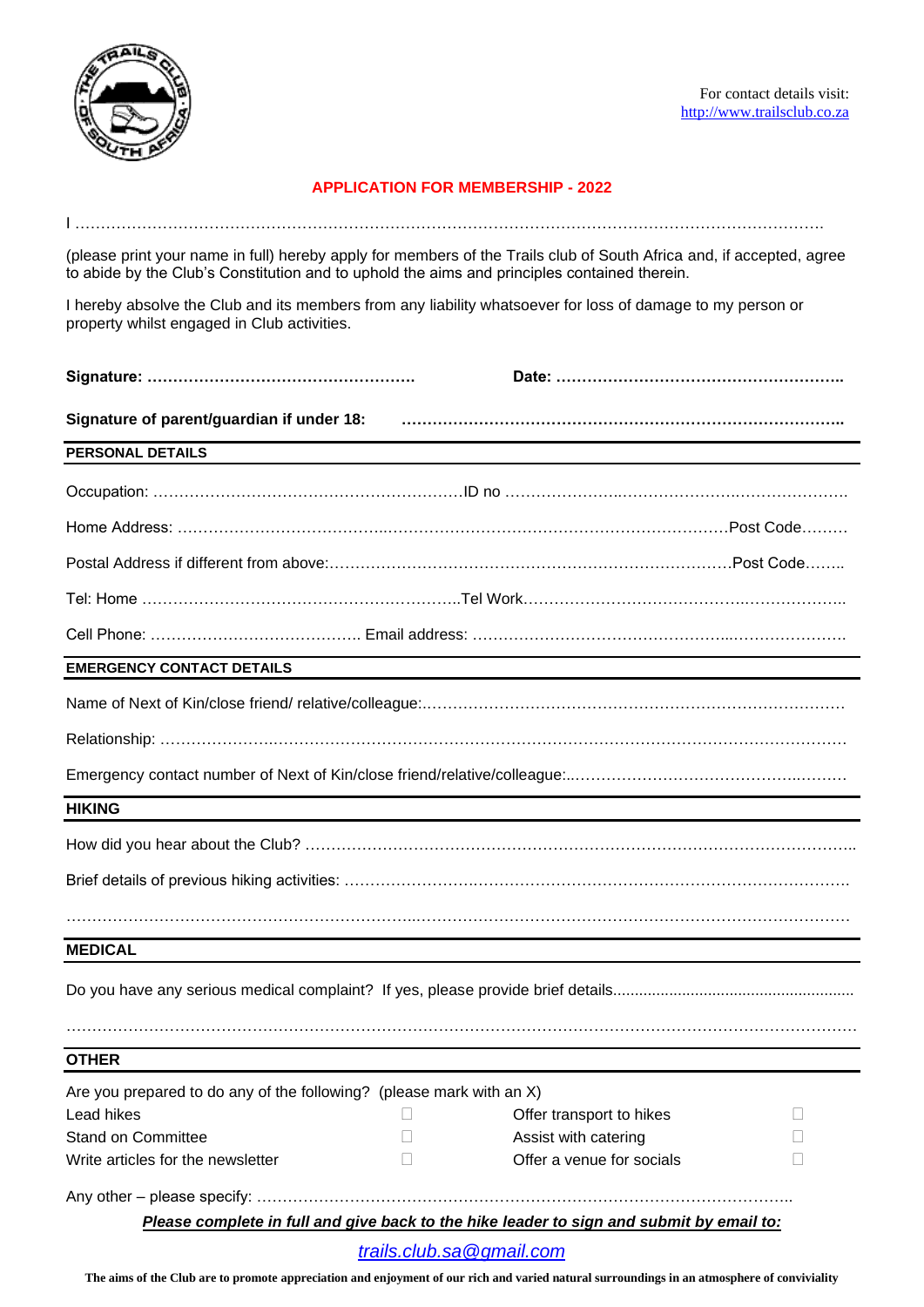

## **APPLICATION FOR MEMBERSHIP - 2022**

(please print your name in full) hereby apply for members of the Trails club of South Africa and, if accepted, agree to abide by the Club's Constitution and to uphold the aims and principles contained therein.

I ……………………………………………………………………………………………………………………………….

I hereby absolve the Club and its members from any liability whatsoever for loss of damage to my person or property whilst engaged in Club activities.

| Signature of parent/guardian if under 18:                            |                                                                                          |  |
|----------------------------------------------------------------------|------------------------------------------------------------------------------------------|--|
| PERSONAL DETAILS                                                     |                                                                                          |  |
|                                                                      |                                                                                          |  |
|                                                                      |                                                                                          |  |
|                                                                      |                                                                                          |  |
|                                                                      | Tel: Home ………………………………………………………Tel Work…………………………………………………………                            |  |
|                                                                      |                                                                                          |  |
| <b>EMERGENCY CONTACT DETAILS</b>                                     |                                                                                          |  |
|                                                                      |                                                                                          |  |
|                                                                      |                                                                                          |  |
|                                                                      |                                                                                          |  |
| <b>HIKING</b>                                                        |                                                                                          |  |
|                                                                      |                                                                                          |  |
|                                                                      |                                                                                          |  |
|                                                                      |                                                                                          |  |
| <b>MEDICAL</b>                                                       |                                                                                          |  |
|                                                                      |                                                                                          |  |
| <b>OTHER</b>                                                         |                                                                                          |  |
| Are you prepared to do any of the following? (please mark with an X) |                                                                                          |  |
| Lead hikes                                                           | Offer transport to hikes                                                                 |  |
| <b>Stand on Committee</b>                                            | Assist with catering                                                                     |  |
| Write articles for the newsletter                                    | Offer a venue for socials                                                                |  |
|                                                                      |                                                                                          |  |
|                                                                      | Please complete in full and give back to the hike leader to sign and submit by email to: |  |
|                                                                      | trails.club.sa@gmail.com                                                                 |  |

**The aims of the Club are to promote appreciation and enjoyment of our rich and varied natural surroundings in an atmosphere of conviviality**